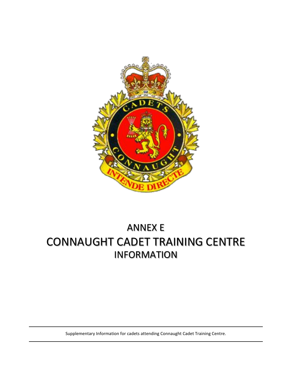

# CONNAUGHT CADET TRAINING CENTRE ANNEX E INFORMATION

Supplementary Information for cadets attending Connaught Cadet Training Centre.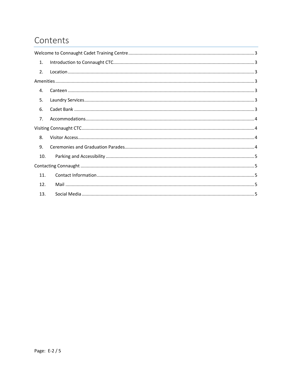## Contents

| 1.             |  |
|----------------|--|
| $\mathcal{P}$  |  |
|                |  |
| 4.             |  |
| 5.             |  |
| 6.             |  |
| 7 <sub>1</sub> |  |
|                |  |
| 8.             |  |
| 9.             |  |
| 10.            |  |
|                |  |
| 11.            |  |
| 12.            |  |
| 13.            |  |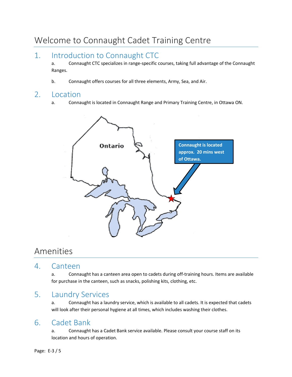## <span id="page-2-0"></span>Welcome to Connaught Cadet Training Centre

## <span id="page-2-1"></span>1. Introduction to Connaught CTC

a. Connaught CTC specializes in range-specific courses, taking full advantage of the Connaught Ranges.

b. Connaught offers courses for all three elements, Army, Sea, and Air.

#### <span id="page-2-2"></span>2. Location

a. Connaught is located in Connaught Range and Primary Training Centre, in Ottawa ON.



## <span id="page-2-3"></span>Amenities

#### <span id="page-2-4"></span>4. Canteen

a. Connaught has a canteen area open to cadets during off-training hours. Items are available for purchase in the canteen, such as snacks, polishing kits, clothing, etc.

### <span id="page-2-5"></span>5. Laundry Services

a. Connaught has a laundry service, which is available to all cadets. It is expected that cadets will look after their personal hygiene at all times, which includes washing their clothes.

#### <span id="page-2-6"></span>6. Cadet Bank

a. Connaught has a Cadet Bank service available. Please consult your course staff on its location and hours of operation.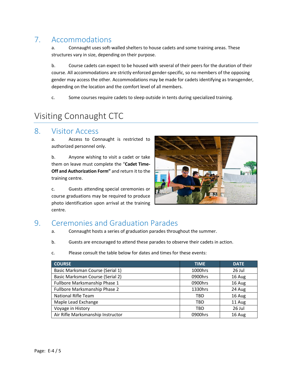## <span id="page-3-0"></span>7. Accommodations

a. Connaught uses soft-walled shelters to house cadets and some training areas. These structures vary in size, depending on their purpose.

b. Course cadets can expect to be housed with several of their peers for the duration of their course. All accommodations are strictly enforced gender-specific, so no members of the opposing gender may access the other. Accommodations may be made for cadets identifying as transgender, depending on the location and the comfort level of all members.

c. Some courses require cadets to sleep outside in tents during specialized training.

## <span id="page-3-1"></span>Visiting Connaught CTC

#### <span id="page-3-2"></span>8. Visitor Access

a. Access to Connaught is restricted to authorized personnel only.

b. Anyone wishing to visit a cadet or take them on leave must complete the "**Cadet Time-Off and Authorization Form"** and return it to the training centre.

c. Guests attending special ceremonies or course graduations may be required to produce photo identification upon arrival at the training centre.



### <span id="page-3-3"></span>9. Ceremonies and Graduation Parades

- a. Connaught hosts a series of graduation parades throughout the summer.
- b. Guests are encouraged to attend these parades to observe their cadets in action.
- c. Please consult the table below for dates and times for these events:

<span id="page-3-4"></span>

| <b>COURSE</b>                     | <b>TIME</b> | <b>DATE</b> |
|-----------------------------------|-------------|-------------|
| Basic Marksman Course (Serial 1)  | 1000hrs     | 26 Jul      |
| Basic Marksman Course (Serial 2)  | 0900hrs     | 16 Aug      |
| Fullbore Marksmanship Phase 1     | 0900hrs     | 16 Aug      |
| Fullbore Marksmanship Phase 2     | 1330hrs     | 24 Aug      |
| <b>National Rifle Team</b>        | TBD         | 16 Aug      |
| Maple Lead Exchange               | TBD         | 11 Aug      |
| Voyage in History                 | TBD         | 26 Jul      |
| Air Rifle Marksmanship Instructor | 0900hrs     | 16 Aug      |